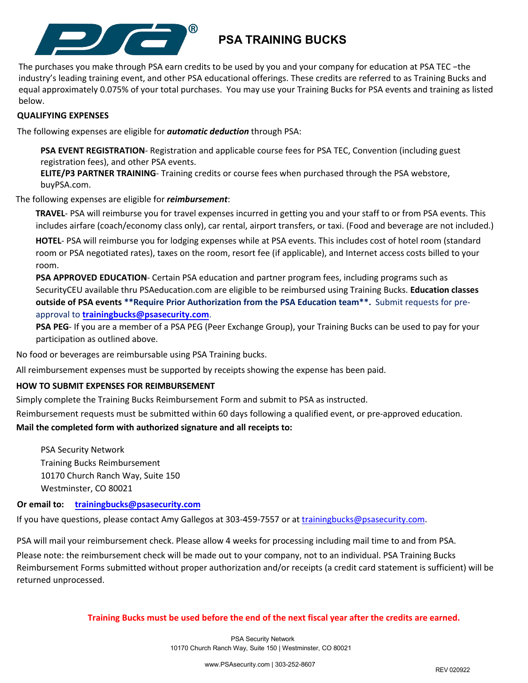

# **PSA TRAINING BUCKS**

The purchases you make through PSA earn credits to be used by you and your company for education at PSA TEC −the industry's leading training event, and other PSA educational offerings. These credits are referred to as Training Bucks and equal approximately 0.075% of your total purchases. You may use your Training Bucks for PSA events and training as listed below.

### **QUALIFYING EXPENSES**

The following expenses are eligible for *automatic deduction* through PSA:

**PSA EVENT REGISTRATION**- Registration and applicable course fees for PSA TEC, Convention (including guest registration fees), and other PSA events.

**ELITE/P3 PARTNER TRAINING**- Training credits or course fees when purchased through the PSA webstore, buyPSA.com.

The following expenses are eligible for *reimbursement*:

**TRAVEL**- PSA will reimburse you for travel expenses incurred in getting you and your staff to or from PSA events. This includes airfare (coach/economy class only), car rental, airport transfers, or taxi. (Food and beverage are not included.)

**HOTEL**- PSA will reimburse you for lodging expenses while at PSA events. This includes cost of hotel room (standard room or PSA negotiated rates), taxes on the room, resort fee (if applicable), and Internet access costs billed to your room.

**PSA APPROVED EDUCATION**- Certain PSA education and partner program fees, including programs such as SecurityCEU available thru PSAeducation.com are eligible to be reimbursed using Training Bucks. **Education classes outside of PSA events \*\*Require Prior Authorization from the PSA Education team\*\*.** Submit requests for preapproval to **trainingbucks@psasecurity.com**.

**PSA PEG**- If you are a member of a PSA PEG (Peer Exchange Group), your Training Bucks can be used to pay for your participation as outlined above.

No food or beverages are reimbursable using PSA Training bucks.

All reimbursement expenses must be supported by receipts showing the expense has been paid.

#### **HOW TO SUBMIT EXPENSES FOR REIMBURSEMENT**

Simply complete the Training Bucks Reimbursement Form and submit to PSA as instructed.

Reimbursement requests must be submitted within 60 days following a qualified event, or pre-approved education.

#### **Mail the completed form with authorized signature and all receipts to:**

PSA Security Network Training Bucks Reimbursement 10170 Church Ranch Way, Suite 150 Westminster, CO 80021

**Or email to: trainingbucks@psasecurity.com**

If you have questions, please contact Amy Gallegos at 303-459-7557 or at trainingbucks@psasecurity.com.

PSA will mail your reimbursement check. Please allow 4 weeks for processing including mail time to and from PSA.

Please note: the reimbursement check will be made out to your company, not to an individual. PSA Training Bucks Reimbursement Forms submitted without proper authorization and/or receipts (a credit card statement is sufficient) will be returned unprocessed.

#### **Training Bucks must be used before the end of the next fiscal year after the credits are earned.**

PSA Security Network 10170 Church Ranch Way, Suite 150 | Westminster, CO 80021